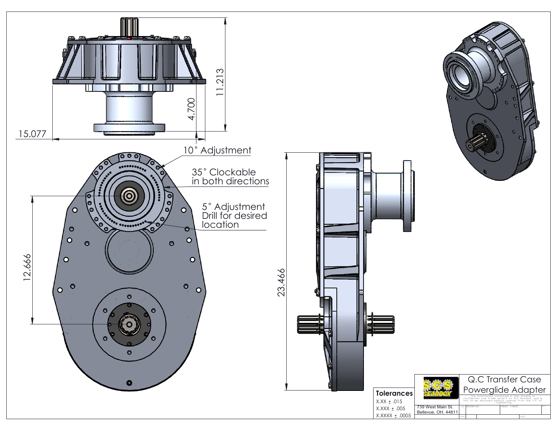